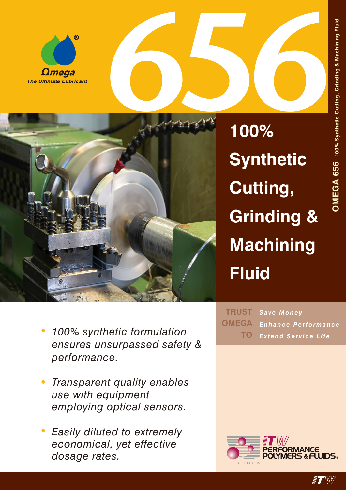



**100% Synthetic Cutting, Grinding & Machining Fluid**

- *• 100% synthetic formulation ensures unsurpassed safety & performance.*
- *• Transparent quality enables use with equipment employing optical sensors.*
- *• Easily diluted to extremely economical, yet effective dosage rates.*

*Save Money Enhance Performance Extend Service Life* **TRUST OMEGA TO**



 $\blacksquare$